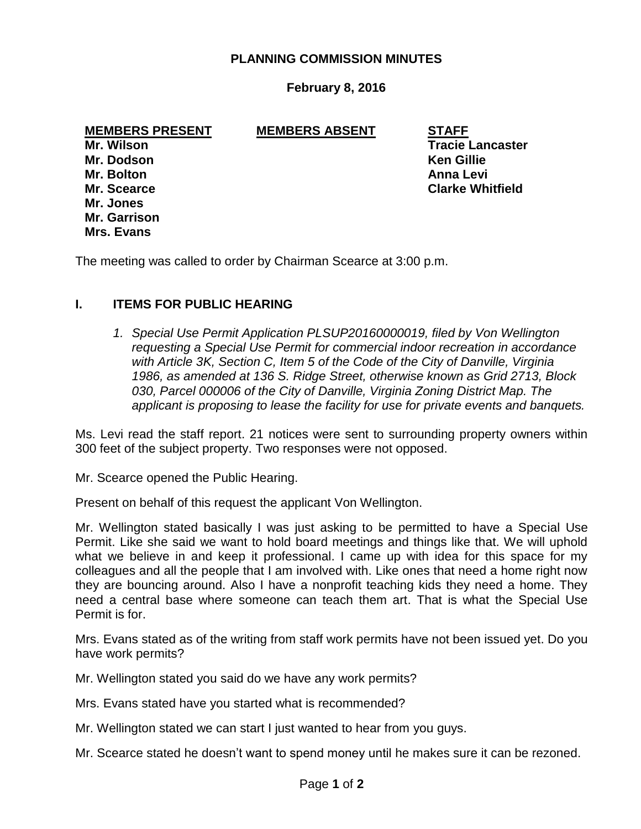### **PLANNING COMMISSION MINUTES**

### **February 8, 2016**

**MEMBERS PRESENT MEMBERS ABSENT STAFF**

**Mr. Dodson Ken Gillie Mr. Bolton Anna Levi Mr. Jones Mr. Garrison Mrs. Evans**

**Mr. Wilson Tracie Lancaster Mr. Scearce Clarke Whitfield**

The meeting was called to order by Chairman Scearce at 3:00 p.m.

#### **I. ITEMS FOR PUBLIC HEARING**

1. Special Use Permit Application PLSUP20160000019, filed by Von Wellington *requesting a Special Use Permit for commercial indoor recreation in accordance with Article 3K, Section C, Item 5 of the Code of the City of Danville, Virginia 1986, as amended at 136 S. Ridge Street, otherwise known as Grid 2713, Block 030, Parcel 000006 of the City of Danville, Virginia Zoning District Map. The applicant is proposing to lease the facility for use for private events and banquets.* 

Ms. Levi read the staff report. 21 notices were sent to surrounding property owners within 300 feet of the subject property. Two responses were not opposed.

Mr. Scearce opened the Public Hearing.

Present on behalf of this request the applicant Von Wellington.

Mr. Wellington stated basically I was just asking to be permitted to have a Special Use Permit. Like she said we want to hold board meetings and things like that. We will uphold what we believe in and keep it professional. I came up with idea for this space for my colleagues and all the people that I am involved with. Like ones that need a home right now they are bouncing around. Also I have a nonprofit teaching kids they need a home. They need a central base where someone can teach them art. That is what the Special Use Permit is for.

Mrs. Evans stated as of the writing from staff work permits have not been issued yet. Do you have work permits?

Mr. Wellington stated you said do we have any work permits?

Mrs. Evans stated have you started what is recommended?

Mr. Wellington stated we can start I just wanted to hear from you guys.

Mr. Scearce stated he doesn't want to spend money until he makes sure it can be rezoned.